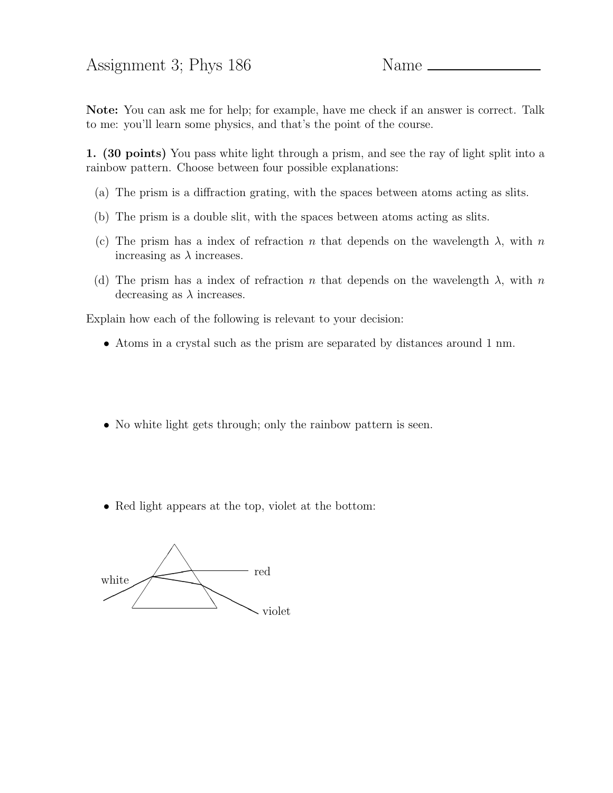Assignment 3; Phys 186 Name \_

Note: You can ask me for help; for example, have me check if an answer is correct. Talk to me: you'll learn some physics, and that's the point of the course.

1. (30 points) You pass white light through a prism, and see the ray of light split into a rainbow pattern. Choose between four possible explanations:

- (a) The prism is a diffraction grating, with the spaces between atoms acting as slits.
- (b) The prism is a double slit, with the spaces between atoms acting as slits.
- (c) The prism has a index of refraction n that depends on the wavelength  $\lambda$ , with n increasing as  $\lambda$  increases.
- (d) The prism has a index of refraction n that depends on the wavelength  $\lambda$ , with n decreasing as  $\lambda$  increases.

Explain how each of the following is relevant to your decision:

- Atoms in a crystal such as the prism are separated by distances around 1 nm.
- No white light gets through; only the rainbow pattern is seen.
- Red light appears at the top, violet at the bottom:

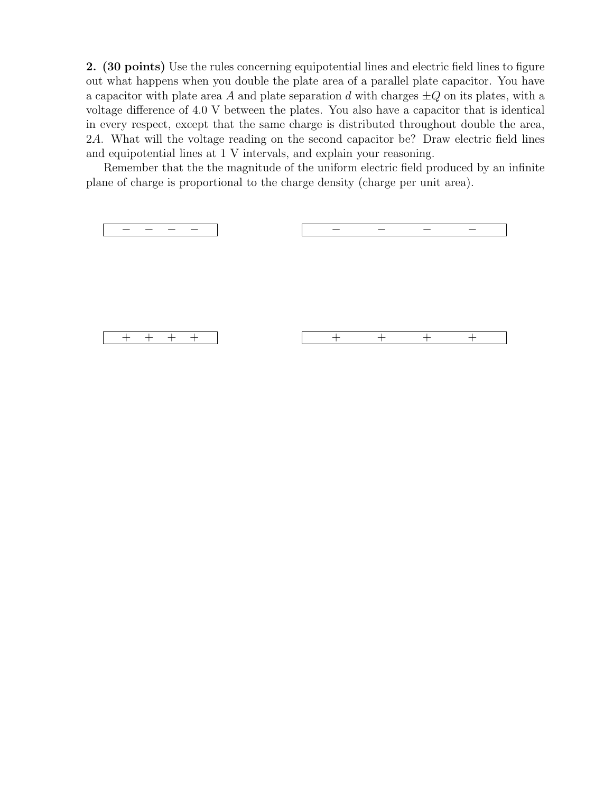2. (30 points) Use the rules concerning equipotential lines and electric field lines to figure out what happens when you double the plate area of a parallel plate capacitor. You have a capacitor with plate area A and plate separation d with charges  $\pm Q$  on its plates, with a voltage difference of 4.0 V between the plates. You also have a capacitor that is identical in every respect, except that the same charge is distributed throughout double the area, 2A. What will the voltage reading on the second capacitor be? Draw electric field lines and equipotential lines at 1 V intervals, and explain your reasoning.

Remember that the the magnitude of the uniform electric field produced by an infinite plane of charge is proportional to the charge density (charge per unit area).

| $+ + + +$ | $+$ $-$ | $+$ $+$ |  |
|-----------|---------|---------|--|
|           |         |         |  |